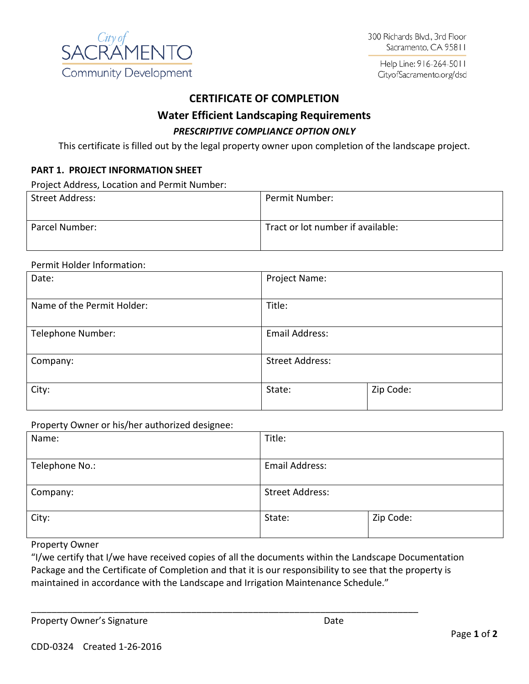

Help Line: 916-264-5011 CityofSacramento.org/dsd

# **CERTIFICATE OF COMPLETION**

## **Water Efficient Landscaping Requirements**

## *PRESCRIPTIVE COMPLIANCE OPTION ONLY*

This certificate is filled out by the legal property owner upon completion of the landscape project.

### **PART 1. PROJECT INFORMATION SHEET**

Project Address, Location and Permit Number:

| Street Address: | Permit Number:                    |
|-----------------|-----------------------------------|
| Parcel Number:  | Tract or lot number if available: |

#### Permit Holder Information:

| Date:                      | Project Name:          |           |  |
|----------------------------|------------------------|-----------|--|
| Name of the Permit Holder: | Title:                 |           |  |
| Telephone Number:          | Email Address:         |           |  |
| Company:                   | <b>Street Address:</b> |           |  |
| City:                      | State:                 | Zip Code: |  |

Property Owner or his/her authorized designee:

| Name:          | Title:                 |           |
|----------------|------------------------|-----------|
|                |                        |           |
| Telephone No.: | <b>Email Address:</b>  |           |
|                |                        |           |
| Company:       | <b>Street Address:</b> |           |
|                |                        |           |
| City:          | State:                 | Zip Code: |
|                |                        |           |

#### Property Owner

"I/we certify that I/we have received copies of all the documents within the Landscape Documentation Package and the Certificate of Completion and that it is our responsibility to see that the property is maintained in accordance with the Landscape and Irrigation Maintenance Schedule."

\_\_\_\_\_\_\_\_\_\_\_\_\_\_\_\_\_\_\_\_\_\_\_\_\_\_\_\_\_\_\_\_\_\_\_\_\_\_\_\_\_\_\_\_\_\_\_\_\_\_\_\_\_\_\_\_\_\_\_\_\_\_\_\_\_\_\_\_\_\_\_\_\_\_\_

Property Owner's Signature **Date** Date